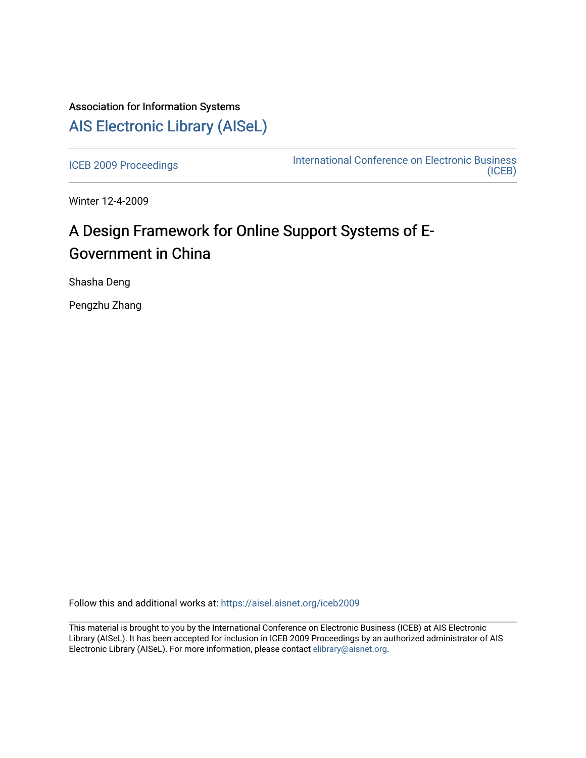## Association for Information Systems [AIS Electronic Library \(AISeL\)](https://aisel.aisnet.org/)

[ICEB 2009 Proceedings](https://aisel.aisnet.org/iceb2009) **International Conference on Electronic Business** [\(ICEB\)](https://aisel.aisnet.org/iceb) 

Winter 12-4-2009

# A Design Framework for Online Support Systems of E-Government in China

Shasha Deng

Pengzhu Zhang

Follow this and additional works at: [https://aisel.aisnet.org/iceb2009](https://aisel.aisnet.org/iceb2009?utm_source=aisel.aisnet.org%2Ficeb2009%2F50&utm_medium=PDF&utm_campaign=PDFCoverPages)

This material is brought to you by the International Conference on Electronic Business (ICEB) at AIS Electronic Library (AISeL). It has been accepted for inclusion in ICEB 2009 Proceedings by an authorized administrator of AIS Electronic Library (AISeL). For more information, please contact [elibrary@aisnet.org.](mailto:elibrary@aisnet.org%3E)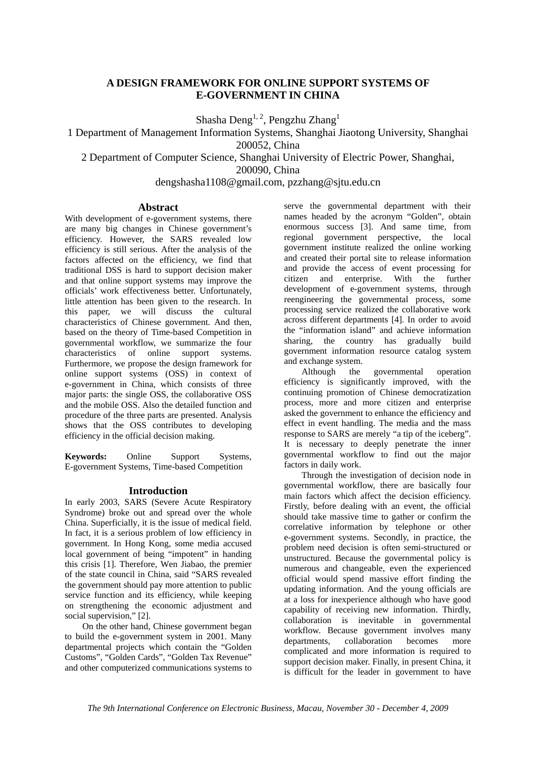### **A DESIGN FRAMEWORK FOR ONLINE SUPPORT SYSTEMS OF E-GOVERNMENT IN CHINA**

Shasha Deng<sup>1, 2</sup>, Pengzhu Zhang<sup>1</sup>

1 Department of Management Information Systems, Shanghai Jiaotong University, Shanghai 200052, China

2 Department of Computer Science, Shanghai University of Electric Power, Shanghai,

200090, China

dengshasha1108@gmail.com, pzzhang@sjtu.edu.cn

### **Abstract**

With development of e-government systems, there are many big changes in Chinese government's efficiency. However, the SARS revealed low efficiency is still serious. After the analysis of the factors affected on the efficiency, we find that traditional DSS is hard to support decision maker and that online support systems may improve the officials' work effectiveness better. Unfortunately, little attention has been given to the research. In this paper, we will discuss the cultural characteristics of Chinese government. And then, based on the theory of Time-based Competition in governmental workflow, we summarize the four characteristics of online support systems. Furthermore, we propose the design framework for online support systems (OSS) in context of e-government in China, which consists of three major parts: the single OSS, the collaborative OSS and the mobile OSS. Also the detailed function and procedure of the three parts are presented. Analysis shows that the OSS contributes to developing efficiency in the official decision making.

**Keywords:** Online Support Systems, E-government Systems, Time-based Competition

### **Introduction**

In early 2003, SARS (Severe Acute Respiratory Syndrome) broke out and spread over the whole China. Superficially, it is the issue of medical field. In fact, it is a serious problem of low efficiency in government. In Hong Kong, some media accused local government of being "impotent" in handing this crisis [1]. Therefore, Wen Jiabao, the premier of the state council in China, said "SARS revealed the government should pay more attention to public service function and its efficiency, while keeping on strengthening the economic adjustment and social supervision," [2].

On the other hand, Chinese government began to build the e-government system in 2001. Many departmental projects which contain the "Golden Customs", "Golden Cards", "Golden Tax Revenue" and other computerized communications systems to serve the governmental department with their names headed by the acronym "Golden", obtain enormous success [3]. And same time, from regional government perspective, the local government institute realized the online working and created their portal site to release information and provide the access of event processing for citizen and enterprise. With the further development of e-government systems, through reengineering the governmental process, some processing service realized the collaborative work across different departments [4]. In order to avoid the "information island" and achieve information sharing, the country has gradually build government information resource catalog system and exchange system.

Although the governmental operation efficiency is significantly improved, with the continuing promotion of Chinese democratization process, more and more citizen and enterprise asked the government to enhance the efficiency and effect in event handling. The media and the mass response to SARS are merely "a tip of the iceberg". It is necessary to deeply penetrate the inner governmental workflow to find out the major factors in daily work.

Through the investigation of decision node in governmental workflow, there are basically four main factors which affect the decision efficiency. Firstly, before dealing with an event, the official should take massive time to gather or confirm the correlative information by telephone or other e-government systems. Secondly, in practice, the problem need decision is often semi-structured or unstructured. Because the governmental policy is numerous and changeable, even the experienced official would spend massive effort finding the updating information. And the young officials are at a loss for inexperience although who have good capability of receiving new information. Thirdly, collaboration is inevitable in governmental workflow. Because government involves many departments, collaboration becomes more complicated and more information is required to support decision maker. Finally, in present China, it is difficult for the leader in government to have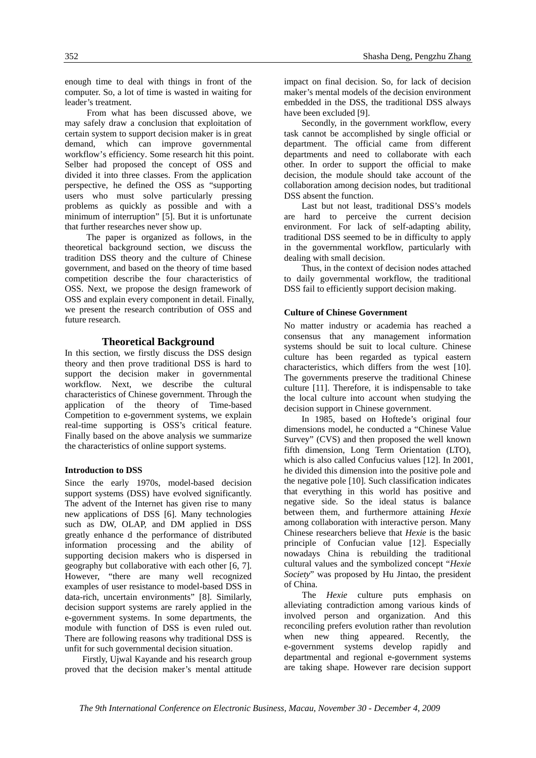enough time to deal with things in front of the computer. So, a lot of time is wasted in waiting for leader's treatment.

From what has been discussed above, we may safely draw a conclusion that exploitation of certain system to support decision maker is in great demand, which can improve governmental workflow's efficiency. Some research hit this point. Selber had proposed the concept of OSS and divided it into three classes. From the application perspective, he defined the OSS as "supporting users who must solve particularly pressing problems as quickly as possible and with a minimum of interruption" [5]. But it is unfortunate that further researches never show up.

The paper is organized as follows, in the theoretical background section, we discuss the tradition DSS theory and the culture of Chinese government, and based on the theory of time based competition describe the four characteristics of OSS. Next, we propose the design framework of OSS and explain every component in detail. Finally, we present the research contribution of OSS and future research.

### **Theoretical Background**

In this section, we firstly discuss the DSS design theory and then prove traditional DSS is hard to support the decision maker in governmental workflow. Next, we describe the cultural characteristics of Chinese government. Through the application of the theory of Time-based Competition to e-government systems, we explain real-time supporting is OSS's critical feature. Finally based on the above analysis we summarize the characteristics of online support systems.

### **Introduction to DSS**

Since the early 1970s, model-based decision support systems (DSS) have evolved significantly. The advent of the Internet has given rise to many new applications of DSS [6]. Many technologies such as DW, OLAP, and DM applied in DSS greatly enhance d the performance of distributed information processing and the ability of supporting decision makers who is dispersed in geography but collaborative with each other [6, 7]. However, "there are many well recognized examples of user resistance to model-based DSS in data-rich, uncertain environments" [8]. Similarly, decision support systems are rarely applied in the e-government systems. In some departments, the module with function of DSS is even ruled out. There are following reasons why traditional DSS is unfit for such governmental decision situation.

Firstly, Ujwal Kayande and his research group proved that the decision maker's mental attitude impact on final decision. So, for lack of decision maker's mental models of the decision environment embedded in the DSS, the traditional DSS always have been excluded [9].

Secondly, in the government workflow, every task cannot be accomplished by single official or department. The official came from different departments and need to collaborate with each other. In order to support the official to make decision, the module should take account of the collaboration among decision nodes, but traditional DSS absent the function

Last but not least, traditional DSS's models are hard to perceive the current decision environment. For lack of self-adapting ability, traditional DSS seemed to be in difficulty to apply in the governmental workflow, particularly with dealing with small decision.

Thus, in the context of decision nodes attached to daily governmental workflow, the traditional DSS fail to efficiently support decision making.

### **Culture of Chinese Government**

No matter industry or academia has reached a consensus that any management information systems should be suit to local culture. Chinese culture has been regarded as typical eastern characteristics, which differs from the west [10]. The governments preserve the traditional Chinese culture [11]. Therefore, it is indispensable to take the local culture into account when studying the decision support in Chinese government.

In 1985, based on Hoftede's original four dimensions model, he conducted a "Chinese Value Survey" (CVS) and then proposed the well known fifth dimension, Long Term Orientation (LTO), which is also called Confucius values [12]. In 2001, he divided this dimension into the positive pole and the negative pole [10]. Such classification indicates that everything in this world has positive and negative side. So the ideal status is balance between them, and furthermore attaining *Hexie* among collaboration with interactive person. Many Chinese researchers believe that *Hexie* is the basic principle of Confucian value [12]. Especially nowadays China is rebuilding the traditional cultural values and the symbolized concept "*Hexie Society*" was proposed by Hu Jintao, the president of China.

The *Hexie* culture puts emphasis on alleviating contradiction among various kinds of involved person and organization. And this reconciling prefers evolution rather than revolution when new thing appeared. Recently, the e-government systems develop rapidly and departmental and regional e-government systems are taking shape. However rare decision support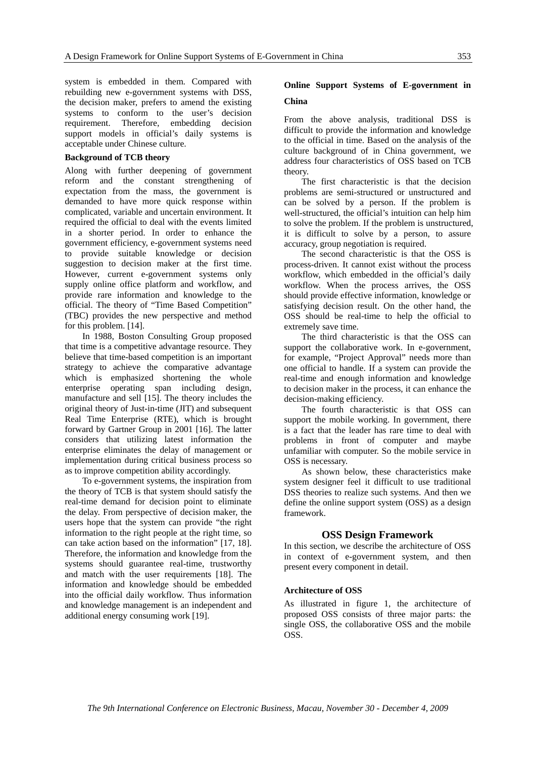system is embedded in them. Compared with rebuilding new e-government systems with DSS, the decision maker, prefers to amend the existing systems to conform to the user's decision requirement. Therefore, embedding decision support models in official's daily systems is acceptable under Chinese culture.

### **Background of TCB theory**

Along with further deepening of government reform and the constant strengthening of expectation from the mass, the government is demanded to have more quick response within complicated, variable and uncertain environment. It required the official to deal with the events limited in a shorter period. In order to enhance the government efficiency, e-government systems need to provide suitable knowledge or decision suggestion to decision maker at the first time. However, current e-government systems only supply online office platform and workflow, and provide rare information and knowledge to the official. The theory of "Time Based Competition" (TBC) provides the new perspective and method for this problem. [14].

In 1988, Boston Consulting Group proposed that time is a competitive advantage resource. They believe that time-based competition is an important strategy to achieve the comparative advantage which is emphasized shortening the whole enterprise operating span including design, manufacture and sell [15]. The theory includes the original theory of Just-in-time (JIT) and subsequent Real Time Enterprise (RTE), which is brought forward by Gartner Group in 2001 [16]. The latter considers that utilizing latest information the enterprise eliminates the delay of management or implementation during critical business process so as to improve competition ability accordingly.

To e-government systems, the inspiration from the theory of TCB is that system should satisfy the real-time demand for decision point to eliminate the delay. From perspective of decision maker, the users hope that the system can provide "the right information to the right people at the right time, so can take action based on the information" [17, 18]. Therefore, the information and knowledge from the systems should guarantee real-time, trustworthy and match with the user requirements [18]. The information and knowledge should be embedded into the official daily workflow. Thus information and knowledge management is an independent and additional energy consuming work [19].

### **Online Support Systems of E-government in China**

From the above analysis, traditional DSS is difficult to provide the information and knowledge to the official in time. Based on the analysis of the culture background of in China government, we address four characteristics of OSS based on TCB theory.

The first characteristic is that the decision problems are semi-structured or unstructured and can be solved by a person. If the problem is well-structured, the official's intuition can help him to solve the problem. If the problem is unstructured, it is difficult to solve by a person, to assure accuracy, group negotiation is required.

The second characteristic is that the OSS is process-driven. It cannot exist without the process workflow, which embedded in the official's daily workflow. When the process arrives, the OSS should provide effective information, knowledge or satisfying decision result. On the other hand, the OSS should be real-time to help the official to extremely save time.

The third characteristic is that the OSS can support the collaborative work. In e-government, for example, "Project Approval" needs more than one official to handle. If a system can provide the real-time and enough information and knowledge to decision maker in the process, it can enhance the decision-making efficiency.

The fourth characteristic is that OSS can support the mobile working. In government, there is a fact that the leader has rare time to deal with problems in front of computer and maybe unfamiliar with computer. So the mobile service in OSS is necessary.

As shown below, these characteristics make system designer feel it difficult to use traditional DSS theories to realize such systems. And then we define the online support system (OSS) as a design framework.

### **OSS Design Framework**

In this section, we describe the architecture of OSS in context of e-government system, and then present every component in detail.

### **Architecture of OSS**

As illustrated in figure 1, the architecture of proposed OSS consists of three major parts: the single OSS, the collaborative OSS and the mobile OSS.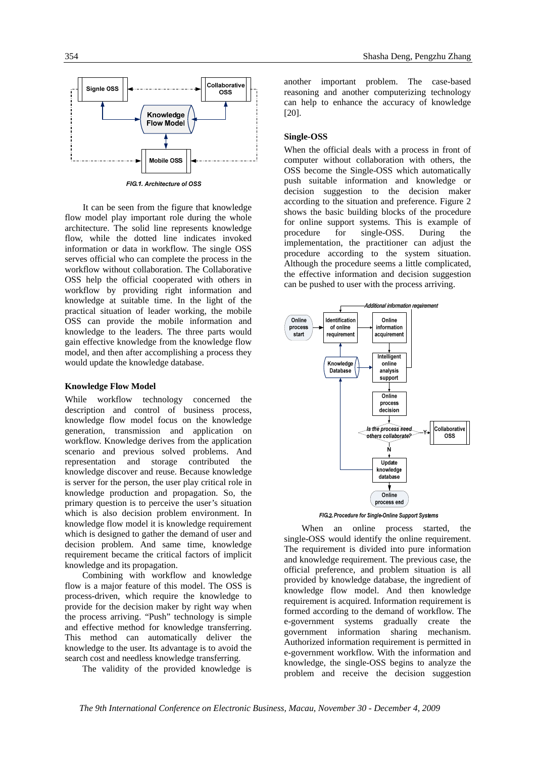

FIG.1. Architecture of OSS

 It can be seen from the figure that knowledge flow model play important role during the whole architecture. The solid line represents knowledge flow, while the dotted line indicates invoked information or data in workflow. The single OSS serves official who can complete the process in the workflow without collaboration. The Collaborative OSS help the official cooperated with others in workflow by providing right information and knowledge at suitable time. In the light of the practical situation of leader working, the mobile OSS can provide the mobile information and knowledge to the leaders. The three parts would gain effective knowledge from the knowledge flow model, and then after accomplishing a process they would update the knowledge database.

### **Knowledge Flow Model**

While workflow technology concerned the description and control of business process, knowledge flow model focus on the knowledge generation, transmission and application on workflow. Knowledge derives from the application scenario and previous solved problems. And representation and storage contributed the knowledge discover and reuse. Because knowledge is server for the person, the user play critical role in knowledge production and propagation. So, the primary question is to perceive the user's situation which is also decision problem environment. In knowledge flow model it is knowledge requirement which is designed to gather the demand of user and decision problem. And same time, knowledge requirement became the critical factors of implicit knowledge and its propagation.

Combining with workflow and knowledge flow is a major feature of this model. The OSS is process-driven, which require the knowledge to provide for the decision maker by right way when the process arriving. "Push" technology is simple and effective method for knowledge transferring. This method can automatically deliver the knowledge to the user. Its advantage is to avoid the search cost and needless knowledge transferring.

The validity of the provided knowledge is

another important problem. The case-based reasoning and another computerizing technology can help to enhance the accuracy of knowledge [20].

### **Single-OSS**

When the official deals with a process in front of computer without collaboration with others, the OSS become the Single-OSS which automatically push suitable information and knowledge or decision suggestion to the decision maker according to the situation and preference. Figure 2 shows the basic building blocks of the procedure for online support systems. This is example of procedure for single-OSS. During the implementation, the practitioner can adjust the procedure according to the system situation. Although the procedure seems a little complicated, the effective information and decision suggestion can be pushed to user with the process arriving.



FIG.2. Procedure for Single-Online Support Systems

When an online process started, the single-OSS would identify the online requirement. The requirement is divided into pure information and knowledge requirement. The previous case, the official preference, and problem situation is all provided by knowledge database, the ingredient of knowledge flow model. And then knowledge requirement is acquired. Information requirement is formed according to the demand of workflow. The e-government systems gradually create the government information sharing mechanism. Authorized information requirement is permitted in e-government workflow. With the information and knowledge, the single-OSS begins to analyze the problem and receive the decision suggestion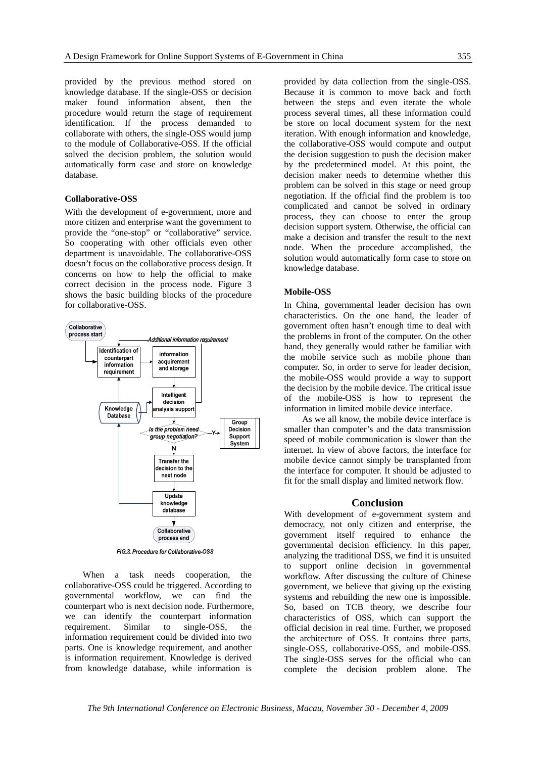provided by the previous method stored on knowledge database. If the single-OSS or decision maker found information absent, then the procedure would return the stage of requirement identification. If the process demanded to collaborate with others, the single-OSS would jump to the module of Collaborative-OSS. If the official solved the decision problem, the solution would automatically form case and store on knowledge database.

### **Collaborative-OSS**

With the development of e-government, more and more citizen and enterprise want the government to provide the "one-stop" or "collaborative" service. So cooperating with other officials even other department is unavoidable. The collaborative-OSS doesn't focus on the collaborative process design. It concerns on how to help the official to make correct decision in the process node. Figure 3 shows the basic building blocks of the procedure for collaborative-OSS.



FIG.3. Procedure for Collaborative-OSS

When a task needs cooperation, the collaborative-OSS could be triggered. According to governmental workflow, we can find the counterpart who is next decision node. Furthermore, we can identify the counterpart information requirement. Similar to single-OSS, the information requirement could be divided into two parts. One is knowledge requirement, and another is information requirement. Knowledge is derived from knowledge database, while information is

provided by data collection from the single-OSS. Because it is common to move back and forth between the steps and even iterate the whole process several times, all these information could be store on local document system for the next iteration. With enough information and knowledge, the collaborative-OSS would compute and output the decision suggestion to push the decision maker by the predetermined model. At this point, the decision maker needs to determine whether this problem can be solved in this stage or need group negotiation. If the official find the problem is too complicated and cannot be solved in ordinary process, they can choose to enter the group decision support system. Otherwise, the official can make a decision and transfer the result to the next node. When the procedure accomplished, the solution would automatically form case to store on knowledge database.

### **Mobile-OSS**

In China, governmental leader decision has own characteristics. On the one hand, the leader of government often hasn't enough time to deal with the problems in front of the computer. On the other hand, they generally would rather be familiar with the mobile service such as mobile phone than computer. So, in order to serve for leader decision, the mobile-OSS would provide a way to support the decision by the mobile device. The critical issue of the mobile-OSS is how to represent the information in limited mobile device interface.

 As we all know, the mobile device interface is smaller than computer's and the data transmission speed of mobile communication is slower than the internet. In view of above factors, the interface for mobile device cannot simply be transplanted from the interface for computer. It should be adjusted to fit for the small display and limited network flow.

### **Conclusion**

With development of e-government system and democracy, not only citizen and enterprise, the government itself required to enhance the governmental decision efficiency. In this paper, analyzing the traditional DSS, we find it is unsuited to support online decision in governmental workflow. After discussing the culture of Chinese government, we believe that giving up the existing systems and rebuilding the new one is impossible. So, based on TCB theory, we describe four characteristics of OSS, which can support the official decision in real time. Further, we proposed the architecture of OSS. It contains three parts, single-OSS, collaborative-OSS, and mobile-OSS. The single-OSS serves for the official who can complete the decision problem alone. The